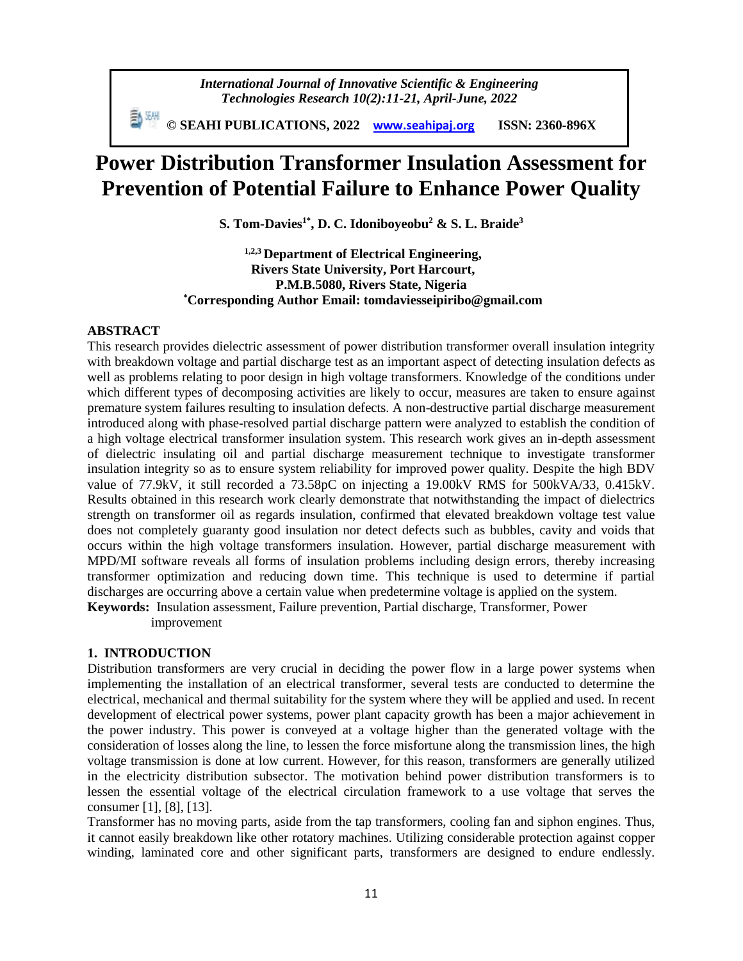*International Journal of Innovative Scientific & Engineering Technologies Research 10(2):11-21, April-June, 2022*

 **© SEAHI PUBLICATIONS, 2022 [www.seahipaj.org](http://www.seahipaj.org/) ISSN: 2360-896X**

# **Power Distribution Transformer Insulation Assessment for Prevention of Potential Failure to Enhance Power Quality**

**S. Tom-Davies1\*, D. C. Idoniboyeobu<sup>2</sup> & S. L. Braide<sup>3</sup>**

**1,2,3 Department of Electrical Engineering, Rivers State University, Port Harcourt, P.M.B.5080, Rivers State, Nigeria \*Corresponding Author Email: tomdaviesseipiribo@gmail.com**

## **ABSTRACT**

This research provides dielectric assessment of power distribution transformer overall insulation integrity with breakdown voltage and partial discharge test as an important aspect of detecting insulation defects as well as problems relating to poor design in high voltage transformers. Knowledge of the conditions under which different types of decomposing activities are likely to occur, measures are taken to ensure against premature system failures resulting to insulation defects. A non-destructive partial discharge measurement introduced along with phase-resolved partial discharge pattern were analyzed to establish the condition of a high voltage electrical transformer insulation system. This research work gives an in-depth assessment of dielectric insulating oil and partial discharge measurement technique to investigate transformer insulation integrity so as to ensure system reliability for improved power quality. Despite the high BDV value of 77.9kV, it still recorded a 73.58pC on injecting a 19.00kV RMS for 500kVA/33, 0.415kV. Results obtained in this research work clearly demonstrate that notwithstanding the impact of dielectrics strength on transformer oil as regards insulation, confirmed that elevated breakdown voltage test value does not completely guaranty good insulation nor detect defects such as bubbles, cavity and voids that occurs within the high voltage transformers insulation. However, partial discharge measurement with MPD/MI software reveals all forms of insulation problems including design errors, thereby increasing transformer optimization and reducing down time. This technique is used to determine if partial discharges are occurring above a certain value when predetermine voltage is applied on the system.

**Keywords:** Insulation assessment, Failure prevention, Partial discharge, Transformer, Power improvement

## **1. INTRODUCTION**

Distribution transformers are very crucial in deciding the power flow in a large power systems when implementing the installation of an electrical transformer, several tests are conducted to determine the electrical, mechanical and thermal suitability for the system where they will be applied and used. In recent development of electrical power systems, power plant capacity growth has been a major achievement in the power industry. This power is conveyed at a voltage higher than the generated voltage with the consideration of losses along the line, to lessen the force misfortune along the transmission lines, the high voltage transmission is done at low current. However, for this reason, transformers are generally utilized in the electricity distribution subsector. The motivation behind power distribution transformers is to lessen the essential voltage of the electrical circulation framework to a use voltage that serves the consumer [1], [8], [13].

Transformer has no moving parts, aside from the tap transformers, cooling fan and siphon engines. Thus, it cannot easily breakdown like other rotatory machines. Utilizing considerable protection against copper winding, laminated core and other significant parts, transformers are designed to endure endlessly.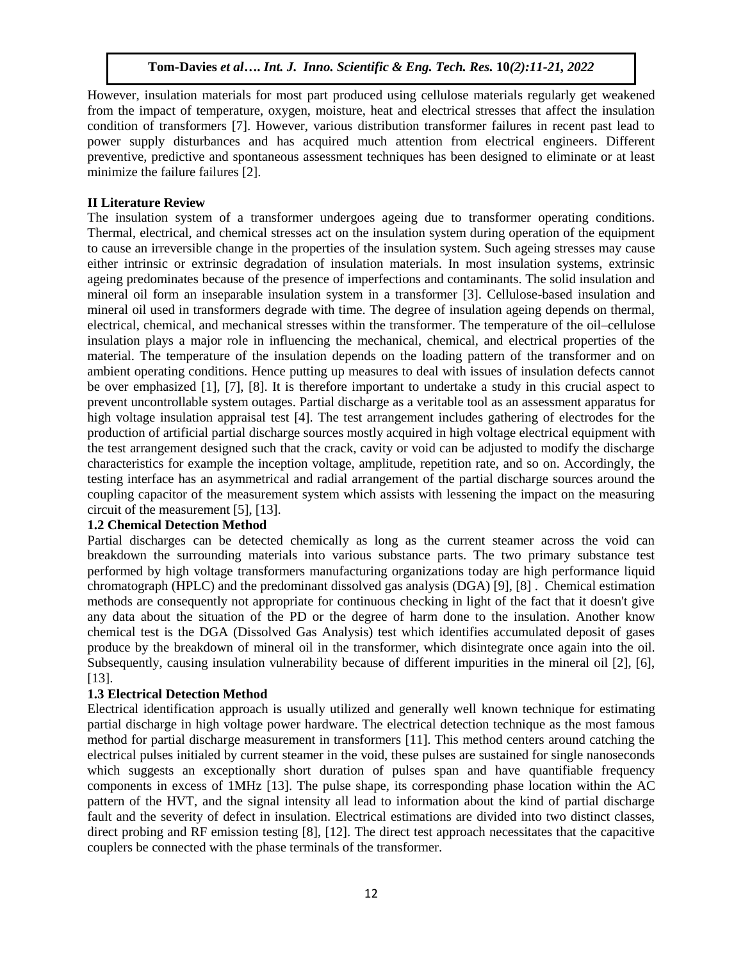However, insulation materials for most part produced using cellulose materials regularly get weakened from the impact of temperature, oxygen, moisture, heat and electrical stresses that affect the insulation condition of transformers [7]. However, various distribution transformer failures in recent past lead to power supply disturbances and has acquired much attention from electrical engineers. Different preventive, predictive and spontaneous assessment techniques has been designed to eliminate or at least minimize the failure failures [2].

# **II Literature Review**

The insulation system of a transformer undergoes ageing due to transformer operating conditions. Thermal, electrical, and chemical stresses act on the insulation system during operation of the equipment to cause an irreversible change in the properties of the insulation system. Such ageing stresses may cause either intrinsic or extrinsic degradation of insulation materials. In most insulation systems, extrinsic ageing predominates because of the presence of imperfections and contaminants. The solid insulation and mineral oil form an inseparable insulation system in a transformer [3]. Cellulose-based insulation and mineral oil used in transformers degrade with time. The degree of insulation ageing depends on thermal, electrical, chemical, and mechanical stresses within the transformer. The temperature of the oil–cellulose insulation plays a major role in influencing the mechanical, chemical, and electrical properties of the material. The temperature of the insulation depends on the loading pattern of the transformer and on ambient operating conditions. Hence putting up measures to deal with issues of insulation defects cannot be over emphasized [1], [7], [8]. It is therefore important to undertake a study in this crucial aspect to prevent uncontrollable system outages. Partial discharge as a veritable tool as an assessment apparatus for high voltage insulation appraisal test [4]. The test arrangement includes gathering of electrodes for the production of artificial partial discharge sources mostly acquired in high voltage electrical equipment with the test arrangement designed such that the crack, cavity or void can be adjusted to modify the discharge characteristics for example the inception voltage, amplitude, repetition rate, and so on. Accordingly, the testing interface has an asymmetrical and radial arrangement of the partial discharge sources around the coupling capacitor of the measurement system which assists with lessening the impact on the measuring circuit of the measurement [5], [13].

# **1.2 Chemical Detection Method**

Partial discharges can be detected chemically as long as the current steamer across the void can breakdown the surrounding materials into various substance parts. The two primary substance test performed by high voltage transformers manufacturing organizations today are high performance liquid chromatograph (HPLC) and the predominant dissolved gas analysis (DGA) [9], [8] . Chemical estimation methods are consequently not appropriate for continuous checking in light of the fact that it doesn't give any data about the situation of the PD or the degree of harm done to the insulation. Another know chemical test is the DGA (Dissolved Gas Analysis) test which identifies accumulated deposit of gases produce by the breakdown of mineral oil in the transformer, which disintegrate once again into the oil. Subsequently, causing insulation vulnerability because of different impurities in the mineral oil [2], [6], [13].

# **1.3 Electrical Detection Method**

Electrical identification approach is usually utilized and generally well known technique for estimating partial discharge in high voltage power hardware. The electrical detection technique as the most famous method for partial discharge measurement in transformers [11]. This method centers around catching the electrical pulses initialed by current steamer in the void, these pulses are sustained for single nanoseconds which suggests an exceptionally short duration of pulses span and have quantifiable frequency components in excess of 1MHz [13]. The pulse shape, its corresponding phase location within the AC pattern of the HVT, and the signal intensity all lead to information about the kind of partial discharge fault and the severity of defect in insulation. Electrical estimations are divided into two distinct classes, direct probing and RF emission testing [8], [12]. The direct test approach necessitates that the capacitive couplers be connected with the phase terminals of the transformer.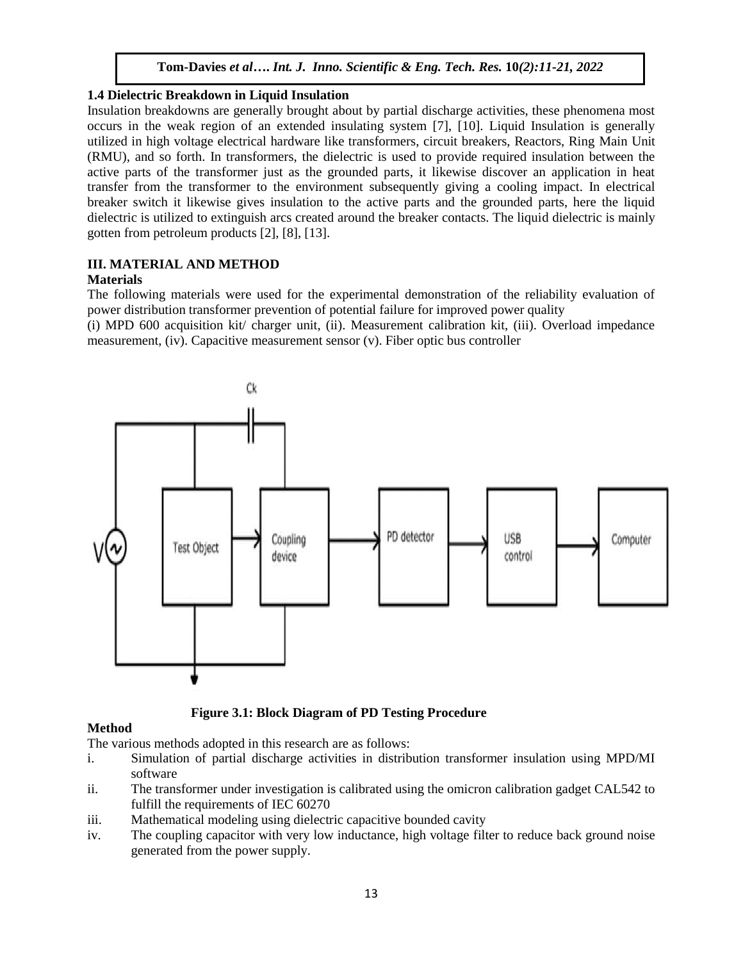# **1.4 Dielectric Breakdown in Liquid Insulation**

Insulation breakdowns are generally brought about by partial discharge activities, these phenomena most occurs in the weak region of an extended insulating system [7], [10]. Liquid Insulation is generally utilized in high voltage electrical hardware like transformers, circuit breakers, Reactors, Ring Main Unit (RMU), and so forth. In transformers, the dielectric is used to provide required insulation between the active parts of the transformer just as the grounded parts, it likewise discover an application in heat transfer from the transformer to the environment subsequently giving a cooling impact. In electrical breaker switch it likewise gives insulation to the active parts and the grounded parts, here the liquid dielectric is utilized to extinguish arcs created around the breaker contacts. The liquid dielectric is mainly gotten from petroleum products [2], [8], [13].

# **III. MATERIAL AND METHOD**

# **Materials**

The following materials were used for the experimental demonstration of the reliability evaluation of power distribution transformer prevention of potential failure for improved power quality

(i) MPD 600 acquisition kit/ charger unit, (ii). Measurement calibration kit, (iii). Overload impedance measurement, (iv). Capacitive measurement sensor (v). Fiber optic bus controller



 **Figure 3.1: Block Diagram of PD Testing Procedure**

# **Method**

The various methods adopted in this research are as follows:

- i. Simulation of partial discharge activities in distribution transformer insulation using MPD/MI software
- ii. The transformer under investigation is calibrated using the omicron calibration gadget CAL542 to fulfill the requirements of IEC 60270
- iii. Mathematical modeling using dielectric capacitive bounded cavity
- iv. The coupling capacitor with very low inductance, high voltage filter to reduce back ground noise generated from the power supply.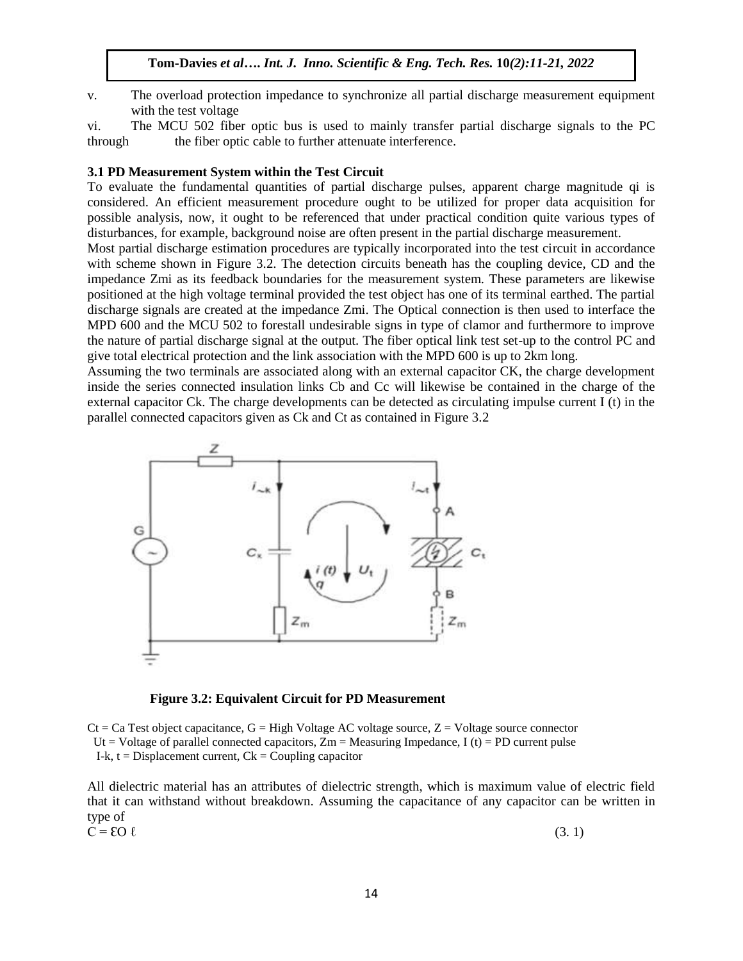v. The overload protection impedance to synchronize all partial discharge measurement equipment with the test voltage

vi. The MCU 502 fiber optic bus is used to mainly transfer partial discharge signals to the PC through the fiber optic cable to further attenuate interference.

#### **3.1 PD Measurement System within the Test Circuit**

To evaluate the fundamental quantities of partial discharge pulses, apparent charge magnitude qi is considered. An efficient measurement procedure ought to be utilized for proper data acquisition for possible analysis, now, it ought to be referenced that under practical condition quite various types of disturbances, for example, background noise are often present in the partial discharge measurement.

Most partial discharge estimation procedures are typically incorporated into the test circuit in accordance with scheme shown in Figure 3.2. The detection circuits beneath has the coupling device, CD and the impedance Zmi as its feedback boundaries for the measurement system. These parameters are likewise positioned at the high voltage terminal provided the test object has one of its terminal earthed. The partial discharge signals are created at the impedance Zmi. The Optical connection is then used to interface the MPD 600 and the MCU 502 to forestall undesirable signs in type of clamor and furthermore to improve the nature of partial discharge signal at the output. The fiber optical link test set-up to the control PC and give total electrical protection and the link association with the MPD 600 is up to 2km long.

Assuming the two terminals are associated along with an external capacitor CK, the charge development inside the series connected insulation links Cb and Cc will likewise be contained in the charge of the external capacitor Ck. The charge developments can be detected as circulating impulse current I (t) in the parallel connected capacitors given as Ck and Ct as contained in Figure 3.2



 **Figure 3.2: Equivalent Circuit for PD Measurement**

 $C_t = Ca$  Test object capacitance,  $G = High$  Voltage AC voltage source,  $Z = Vol$  Voltage source connector Ut = Voltage of parallel connected capacitors,  $Zm$  = Measuring Impedance, I (t) = PD current pulse I-k,  $t = Displacement current$ ,  $Ck = Coupling capacitor$ 

All dielectric material has an attributes of dielectric strength, which is maximum value of electric field that it can withstand without breakdown. Assuming the capacitance of any capacitor can be written in type of<br> $C = \mathcal{E}O \ell$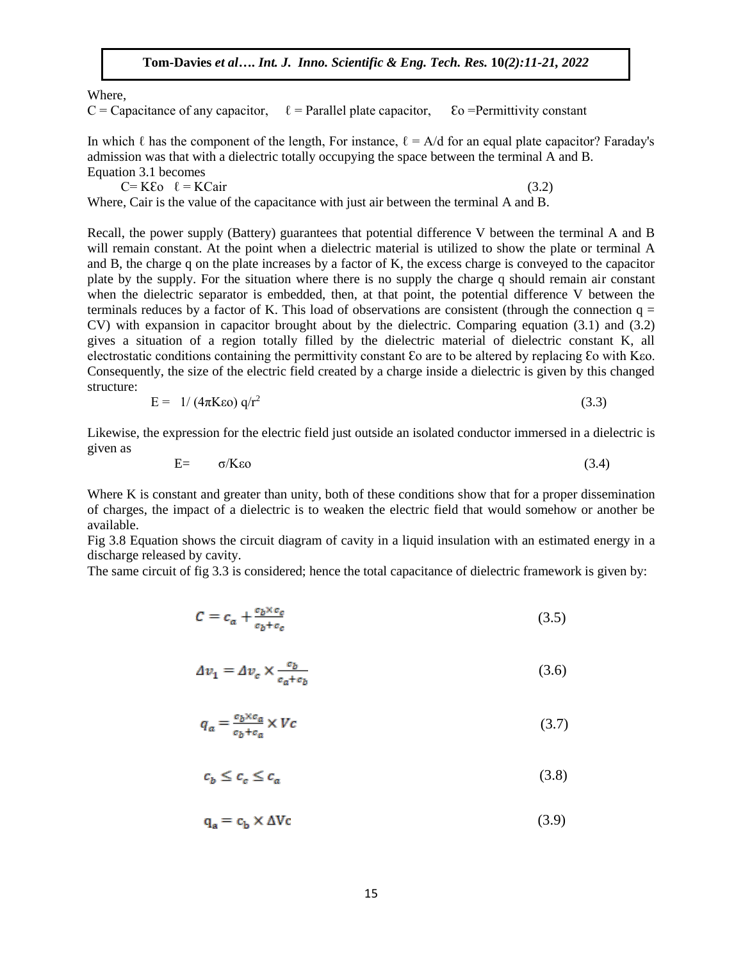#### Where,

C = Capacitance of any capacitor,  $\ell$  = Parallel plate capacitor,  $\epsilon$   $\epsilon$  = Permittivity constant

In which  $\ell$  has the component of the length, For instance,  $\ell = A/d$  for an equal plate capacitor? Faraday's admission was that with a dielectric totally occupying the space between the terminal A and B. Equation 3.1 becomes

 $C= K\epsilon_0 \quad \ell = K\epsilon_0$  (3.2)

Where, Cair is the value of the capacitance with just air between the terminal A and B.

Recall, the power supply (Battery) guarantees that potential difference V between the terminal A and B will remain constant. At the point when a dielectric material is utilized to show the plate or terminal A and B, the charge q on the plate increases by a factor of K, the excess charge is conveyed to the capacitor plate by the supply. For the situation where there is no supply the charge q should remain air constant when the dielectric separator is embedded, then, at that point, the potential difference V between the terminals reduces by a factor of K. This load of observations are consistent (through the connection  $q =$ CV) with expansion in capacitor brought about by the dielectric. Comparing equation (3.1) and (3.2) gives a situation of a region totally filled by the dielectric material of dielectric constant K, all electrostatic conditions containing the permittivity constant Ɛo are to be altered by replacing Ɛo with Kεo. Consequently, the size of the electric field created by a charge inside a dielectric is given by this changed structure:

$$
E = 1/(4\pi K\epsilon_0) q/r^2 \tag{3.3}
$$

Likewise, the expression for the electric field just outside an isolated conductor immersed in a dielectric is given as

$$
E = \sigma/K\epsilon_0 \tag{3.4}
$$

Where K is constant and greater than unity, both of these conditions show that for a proper dissemination of charges, the impact of a dielectric is to weaken the electric field that would somehow or another be available.

Fig 3.8 Equation shows the circuit diagram of cavity in a liquid insulation with an estimated energy in a discharge released by cavity.

The same circuit of fig 3.3 is considered; hence the total capacitance of dielectric framework is given by:

$$
C = c_a + \frac{c_b \times c_c}{c_b + c_c} \tag{3.5}
$$

$$
\Delta v_1 = \Delta v_c \times \frac{c_b}{c_a + c_b} \tag{3.6}
$$

$$
q_a = \frac{c_b \times c_a}{c_b + c_a} \times Vc \tag{3.7}
$$

$$
c_b \le c_c \le c_a \tag{3.8}
$$

 $(3.9)$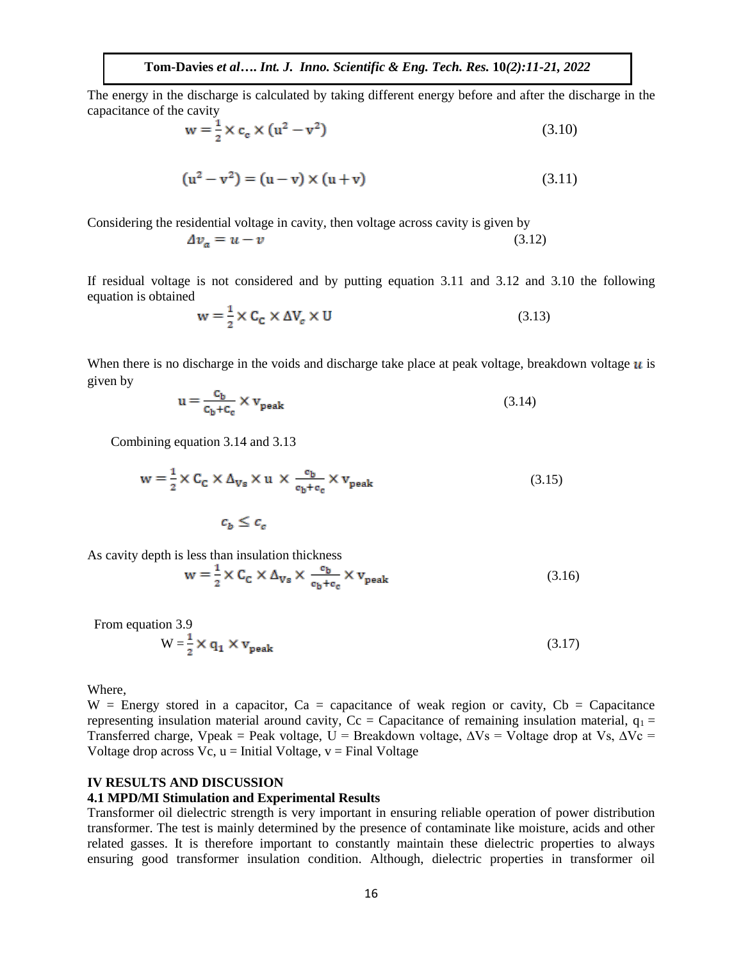The energy in the discharge is calculated by taking different energy before and after the discharge in the capacitance of the cavity

$$
w = \frac{1}{2} \times c_e \times (u^2 - v^2)
$$
 (3.10)

$$
(u2 - v2) = (u - v) \times (u + v)
$$
 (3.11)

Considering the residential voltage in cavity, then voltage across cavity is given by

$$
\Delta v_a = u - v \tag{3.12}
$$

If residual voltage is not considered and by putting equation 3.11 and 3.12 and 3.10 the following equation is obtained

$$
w = \frac{1}{2} \times C_C \times \Delta V_c \times U
$$
\n(3.13)

When there is no discharge in the voids and discharge take place at peak voltage, breakdown voltage  $\boldsymbol{u}$  is given by

$$
u = \frac{c_b}{c_b + c_c} \times v_{peak}
$$
 (3.14)

Combining equation 3.14 and 3.13

$$
w = \frac{1}{2} \times C_C \times \Delta_{Vs} \times u \times \frac{c_b}{c_b + c_c} \times v_{peak}
$$
 (3.15)

$$
c_b \leq c_c
$$

As cavity depth is less than insulation thickness

$$
w = \frac{1}{2} \times C_C \times \Delta_{Vs} \times \frac{c_b}{c_b + c_c} \times v_{peak}
$$
 (3.16)

From equation 3.9

$$
W = \frac{1}{2} \times q_1 \times v_{\text{peak}} \tag{3.17}
$$

Where,

 $W =$  Energy stored in a capacitor, Ca = capacitance of weak region or cavity, Cb = Capacitance representing insulation material around cavity,  $Cc = Capacitance$  of remaining insulation material,  $q_1 =$ Transferred charge, Vpeak = Peak voltage, U = Breakdown voltage,  $\Delta Vs$  = Voltage drop at Vs,  $\Delta Vc$  = Voltage drop across  $Vc$ ,  $u =$  Initial Voltage,  $v =$  Final Voltage

## **IV RESULTS AND DISCUSSION**

#### **4.1 MPD/MI Stimulation and Experimental Results**

Transformer oil dielectric strength is very important in ensuring reliable operation of power distribution transformer. The test is mainly determined by the presence of contaminate like moisture, acids and other related gasses. It is therefore important to constantly maintain these dielectric properties to always ensuring good transformer insulation condition. Although, dielectric properties in transformer oil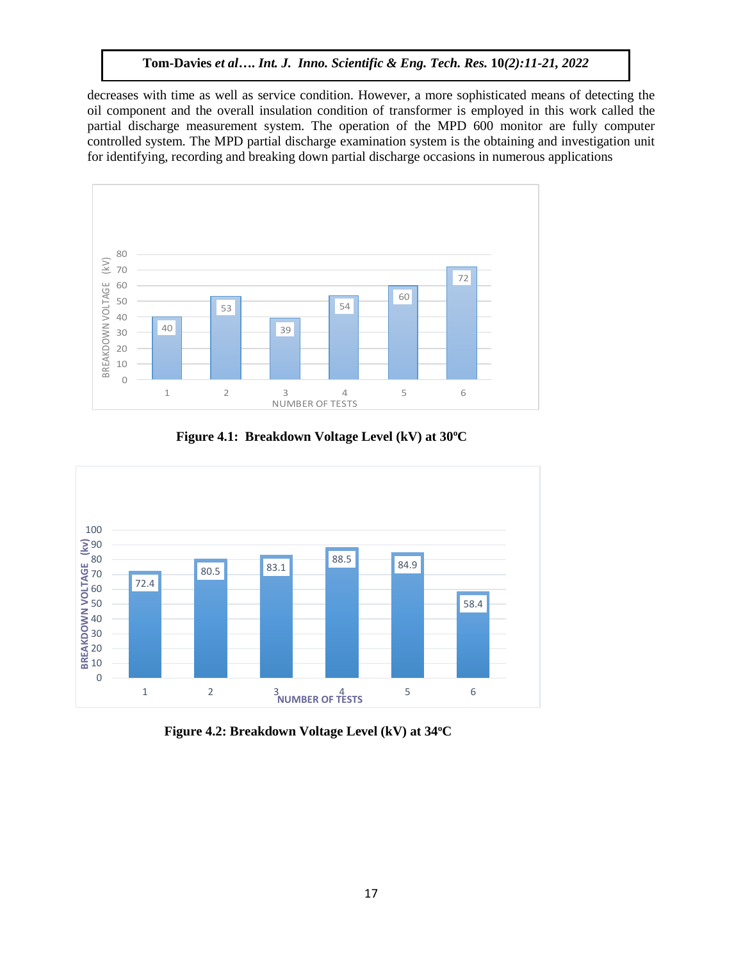decreases with time as well as service condition. However, a more sophisticated means of detecting the oil component and the overall insulation condition of transformer is employed in this work called the partial discharge measurement system. The operation of the MPD 600 monitor are fully computer controlled system. The MPD partial discharge examination system is the obtaining and investigation unit for identifying, recording and breaking down partial discharge occasions in numerous applications



**Figure 4.1: Breakdown Voltage Level (kV) at 30<sup>o</sup>C**



**Figure 4.2: Breakdown Voltage Level (kV) at 34<sup>o</sup>C**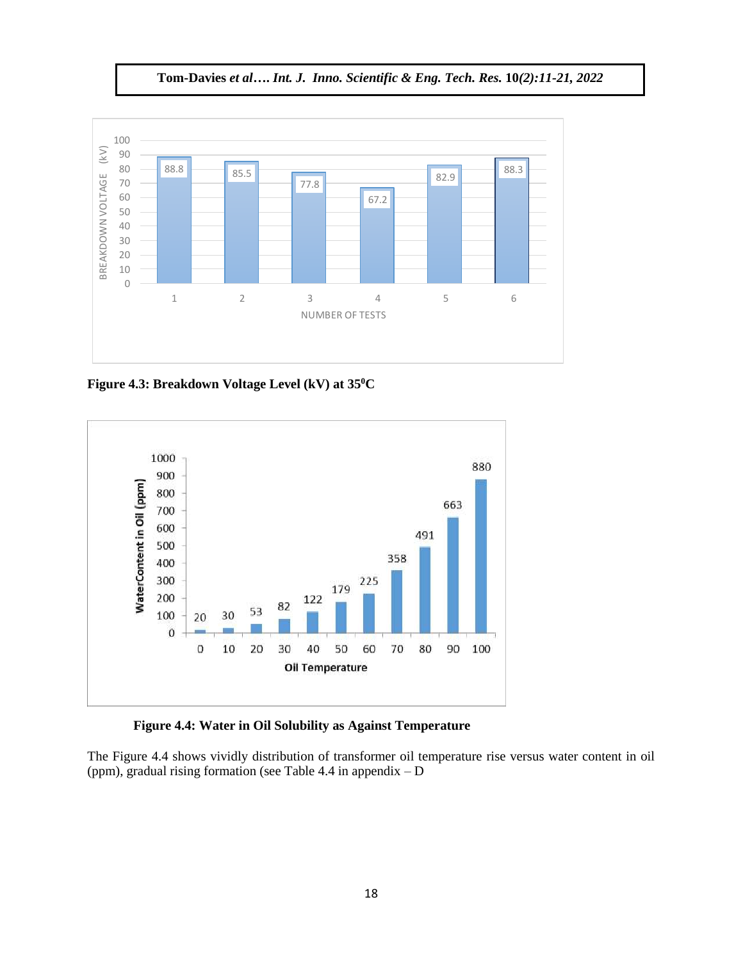**Tom-Davies** *et al***….** *Int. J. Inno. Scientific & Eng. Tech. Res.* **10***(2):11-21, 2022*



**Figure 4.3: Breakdown Voltage Level (kV) at 35<sup>0</sup>C**



 **Figure 4.4: Water in Oil Solubility as Against Temperature**

The Figure 4.4 shows vividly distribution of transformer oil temperature rise versus water content in oil (ppm), gradual rising formation (see Table 4.4 in appendix  $-D$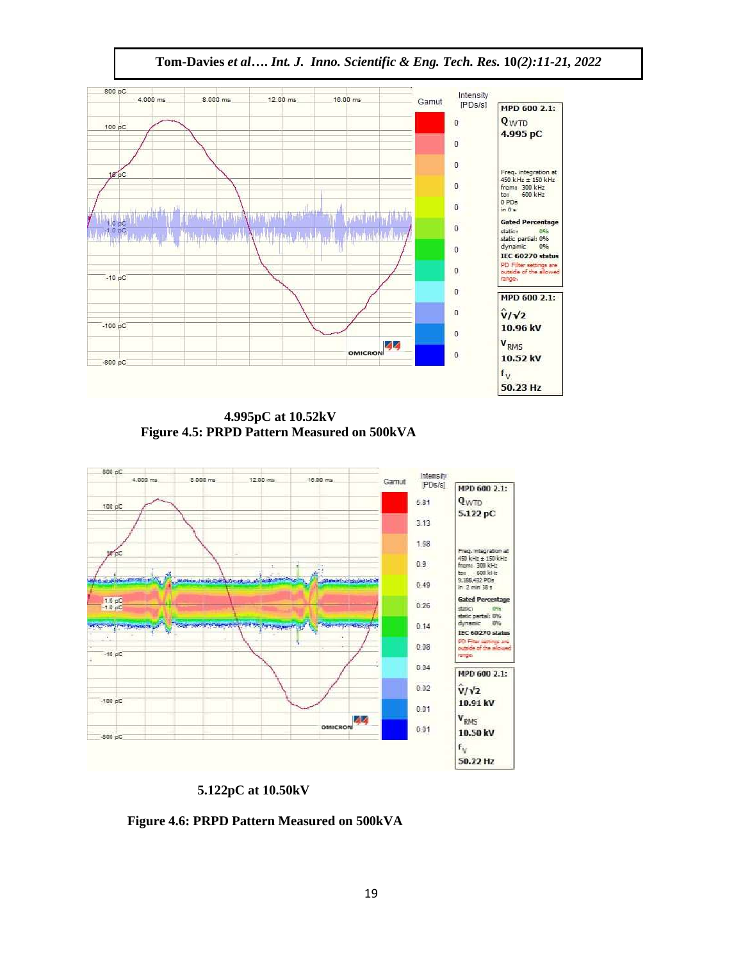



 **4.995pC at 10.52kV Figure 4.5: PRPD Pattern Measured on 500kVA**



 **5.122pC at 10.50kV**

 **Figure 4.6: PRPD Pattern Measured on 500kVA**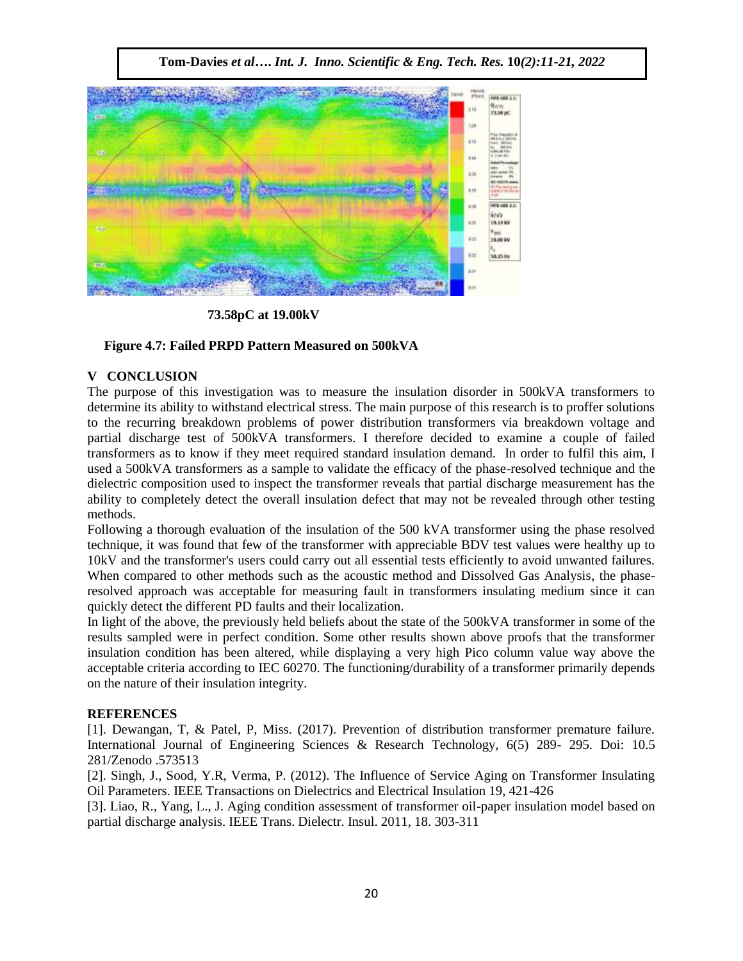**Tom-Davies** *et al***….** *Int. J. Inno. Scientific & Eng. Tech. Res.* **10***(2):11-21, 2022*



 **73.58pC at 19.00kV**

## **Figure 4.7: Failed PRPD Pattern Measured on 500kVA**

# **V CONCLUSION**

The purpose of this investigation was to measure the insulation disorder in 500kVA transformers to determine its ability to withstand electrical stress. The main purpose of this research is to proffer solutions to the recurring breakdown problems of power distribution transformers via breakdown voltage and partial discharge test of 500kVA transformers. I therefore decided to examine a couple of failed transformers as to know if they meet required standard insulation demand. In order to fulfil this aim, I used a 500kVA transformers as a sample to validate the efficacy of the phase-resolved technique and the dielectric composition used to inspect the transformer reveals that partial discharge measurement has the ability to completely detect the overall insulation defect that may not be revealed through other testing methods.

Following a thorough evaluation of the insulation of the 500 kVA transformer using the phase resolved technique, it was found that few of the transformer with appreciable BDV test values were healthy up to 10kV and the transformer's users could carry out all essential tests efficiently to avoid unwanted failures. When compared to other methods such as the acoustic method and Dissolved Gas Analysis, the phaseresolved approach was acceptable for measuring fault in transformers insulating medium since it can quickly detect the different PD faults and their localization.

In light of the above, the previously held beliefs about the state of the 500kVA transformer in some of the results sampled were in perfect condition. Some other results shown above proofs that the transformer insulation condition has been altered, while displaying a very high Pico column value way above the acceptable criteria according to IEC 60270. The functioning/durability of a transformer primarily depends on the nature of their insulation integrity.

## **REFERENCES**

[1]. Dewangan, T, & Patel, P, Miss. (2017). Prevention of distribution transformer premature failure. International Journal of Engineering Sciences & Research Technology, 6(5) 289- 295. Doi: 10.5 281/Zenodo .573513

[2]. Singh, J., Sood, Y.R, Verma, P. (2012). The Influence of Service Aging on Transformer Insulating Oil Parameters. IEEE Transactions on Dielectrics and Electrical Insulation 19, 421-426

[3]. Liao, R., Yang, L., J. Aging condition assessment of transformer oil-paper insulation model based on partial discharge analysis. IEEE Trans. Dielectr. Insul. 2011, 18. 303-311